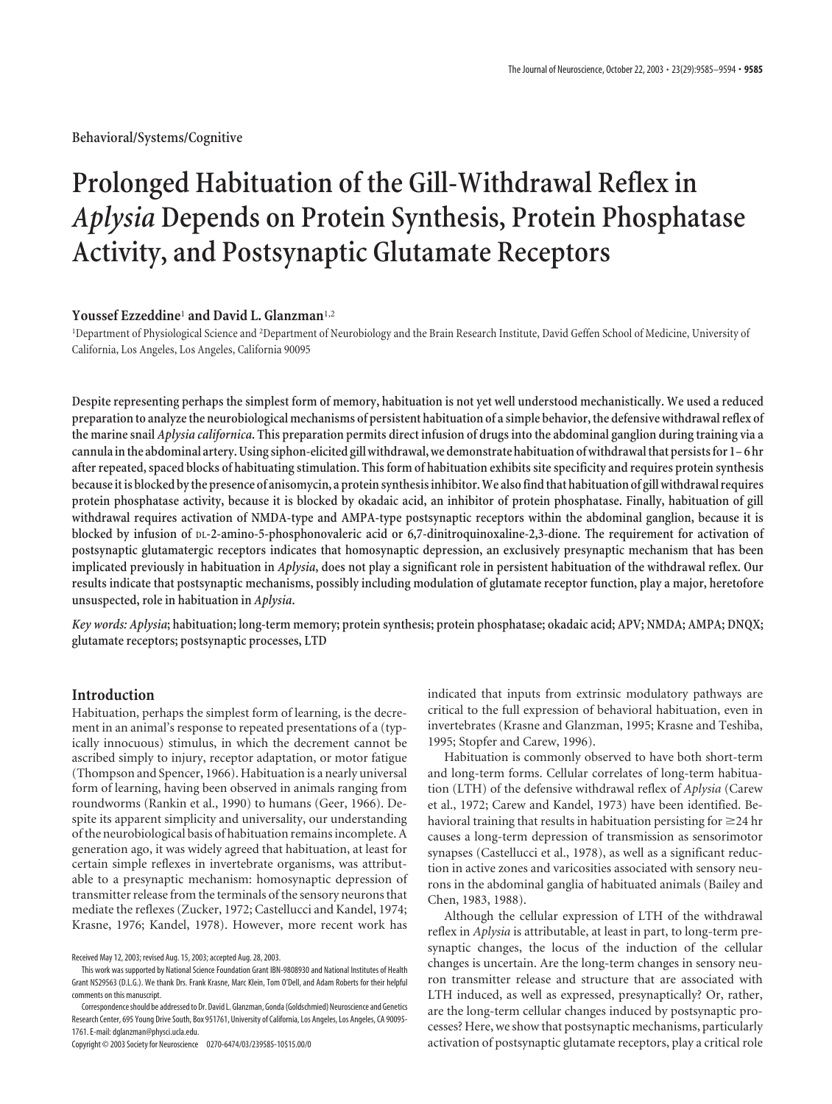**Behavioral/Systems/Cognitive**

# **Prolonged Habituation of the Gill-Withdrawal Reflex in** *Aplysia* **Depends on Protein Synthesis, Protein Phosphatase Activity, and Postsynaptic Glutamate Receptors**

# **Youssef Ezzeddine**<sup>1</sup> **and David L. Glanzman**1,2

1 Department of Physiological Science and <sup>2</sup> Department of Neurobiology and the Brain Research Institute, David Geffen School of Medicine, University of California, Los Angeles, Los Angeles, California 90095

**Despite representing perhaps the simplest form of memory, habituation is not yet well understood mechanistically. We used a reduced preparation to analyze the neurobiological mechanisms of persistent habituation of a simple behavior, the defensive withdrawal reflex of the marine snail** *Aplysia californica***. This preparation permits direct infusion of drugs into the abdominal ganglion during training via a cannula in the abdominal artery. Using siphon-elicited gill withdrawal, we demonstrate habituation of withdrawal that persists for 1– 6 hr after repeated, spaced blocks of habituating stimulation. This form of habituation exhibits site specificity and requires protein synthesis because it is blocked by the presence of anisomycin, a protein synthesis inhibitor. We also find that habituation of gill withdrawal requires protein phosphatase activity, because it is blocked by okadaic acid, an inhibitor of protein phosphatase. Finally, habituation of gill withdrawal requires activation of NMDA-type and AMPA-type postsynaptic receptors within the abdominal ganglion, because it is blocked by infusion of DL-2-amino-5-phosphonovaleric acid or 6,7-dinitroquinoxaline-2,3-dione. The requirement for activation of postsynaptic glutamatergic receptors indicates that homosynaptic depression, an exclusively presynaptic mechanism that has been implicated previously in habituation in** *Aplysia***, does not play a significant role in persistent habituation of the withdrawal reflex. Our results indicate that postsynaptic mechanisms, possibly including modulation of glutamate receptor function, play a major, heretofore unsuspected, role in habituation in** *Aplysia***.**

*Key words: Aplysia***; habituation; long-term memory; protein synthesis; protein phosphatase; okadaic acid; APV; NMDA; AMPA; DNQX; glutamate receptors; postsynaptic processes, LTD**

#### **Introduction**

Habituation, perhaps the simplest form of learning, is the decrement in an animal's response to repeated presentations of a (typically innocuous) stimulus, in which the decrement cannot be ascribed simply to injury, receptor adaptation, or motor fatigue (Thompson and Spencer, 1966). Habituation is a nearly universal form of learning, having been observed in animals ranging from roundworms (Rankin et al., 1990) to humans (Geer, 1966). Despite its apparent simplicity and universality, our understanding of the neurobiological basis of habituation remains incomplete. A generation ago, it was widely agreed that habituation, at least for certain simple reflexes in invertebrate organisms, was attributable to a presynaptic mechanism: homosynaptic depression of transmitter release from the terminals of the sensory neurons that mediate the reflexes (Zucker, 1972; Castellucci and Kandel, 1974; Krasne, 1976; Kandel, 1978). However, more recent work has

Copyright © 2003 Society for Neuroscience 0270-6474/03/239585-10\$15.00/0

indicated that inputs from extrinsic modulatory pathways are critical to the full expression of behavioral habituation, even in invertebrates (Krasne and Glanzman, 1995; Krasne and Teshiba, 1995; Stopfer and Carew, 1996).

Habituation is commonly observed to have both short-term and long-term forms. Cellular correlates of long-term habituation (LTH) of the defensive withdrawal reflex of *Aplysia* (Carew et al., 1972; Carew and Kandel, 1973) have been identified. Behavioral training that results in habituation persisting for  $\geq$  24 hr causes a long-term depression of transmission as sensorimotor synapses (Castellucci et al., 1978), as well as a significant reduction in active zones and varicosities associated with sensory neurons in the abdominal ganglia of habituated animals (Bailey and Chen, 1983, 1988).

Although the cellular expression of LTH of the withdrawal reflex in *Aplysia* is attributable, at least in part, to long-term presynaptic changes, the locus of the induction of the cellular changes is uncertain. Are the long-term changes in sensory neuron transmitter release and structure that are associated with LTH induced, as well as expressed, presynaptically? Or, rather, are the long-term cellular changes induced by postsynaptic processes? Here, we show that postsynaptic mechanisms, particularly activation of postsynaptic glutamate receptors, play a critical role

Received May 12, 2003; revised Aug. 15, 2003; accepted Aug. 28, 2003.

This work was supported by National Science Foundation Grant IBN-9808930 and National Institutes of Health Grant NS29563 (D.L.G.). We thank Drs. Frank Krasne, Marc Klein, Tom O'Dell, and Adam Roberts for their helpful comments on this manuscript.

Correspondence should be addressed to Dr. David L. Glanzman, Gonda (Goldschmied) Neuroscience and Genetics Research Center, 695 Young Drive South, Box 951761, University of California, Los Angeles, Los Angeles, CA 90095- 1761. E-mail: dglanzman@physci.ucla.edu.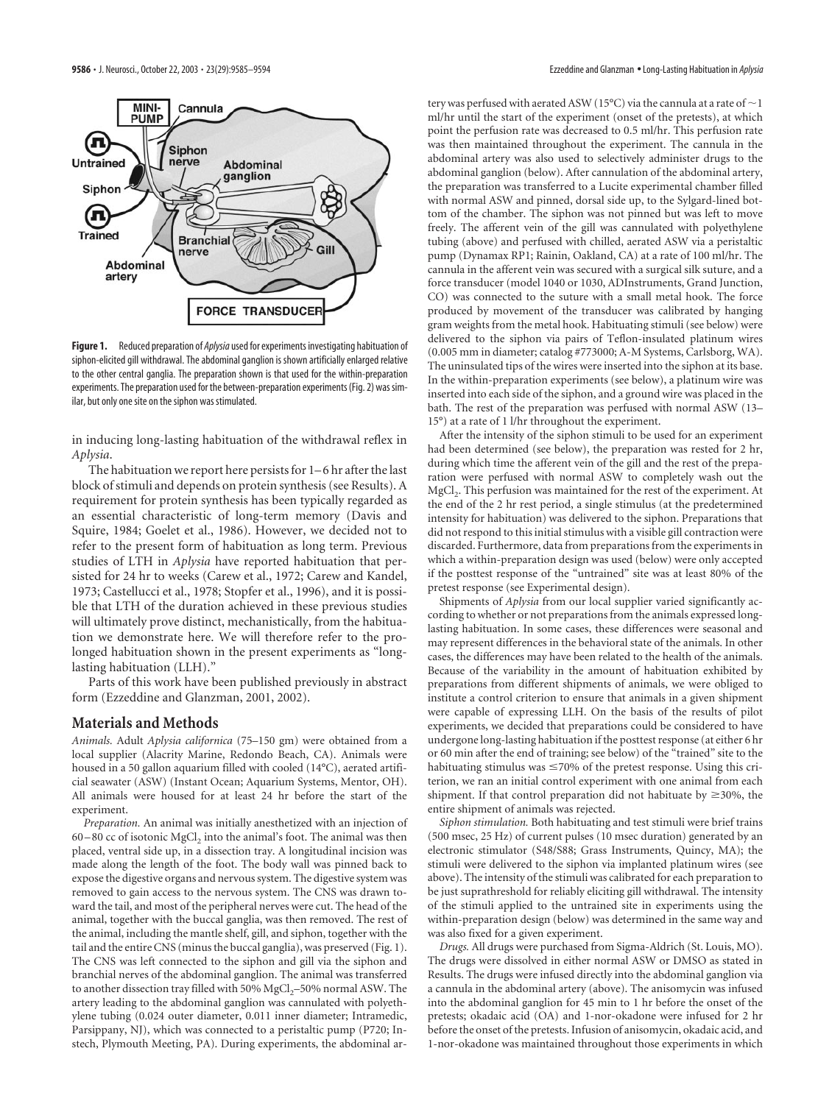

**Figure 1.** Reduced preparation of *Aplysia*used for experiments investigating habituation of siphon-elicited gill withdrawal. The abdominal ganglion is shown artificially enlarged relative to the other central ganglia. The preparation shown is that used for the within-preparation experiments. The preparation used for the between-preparation experiments (Fig. 2) was similar, but only one site on the siphon was stimulated.

in inducing long-lasting habituation of the withdrawal reflex in *Aplysia*.

The habituation we report here persists for 1–6 hr after the last block of stimuli and depends on protein synthesis (see Results). A requirement for protein synthesis has been typically regarded as an essential characteristic of long-term memory (Davis and Squire, 1984; Goelet et al., 1986). However, we decided not to refer to the present form of habituation as long term. Previous studies of LTH in *Aplysia* have reported habituation that persisted for 24 hr to weeks (Carew et al., 1972; Carew and Kandel, 1973; Castellucci et al., 1978; Stopfer et al., 1996), and it is possible that LTH of the duration achieved in these previous studies will ultimately prove distinct, mechanistically, from the habituation we demonstrate here. We will therefore refer to the prolonged habituation shown in the present experiments as "longlasting habituation (LLH)."

Parts of this work have been published previously in abstract form (Ezzeddine and Glanzman, 2001, 2002).

#### **Materials and Methods**

*Animals.* Adult *Aplysia californica* (75–150 gm) were obtained from a local supplier (Alacrity Marine, Redondo Beach, CA). Animals were housed in a 50 gallon aquarium filled with cooled (14°C), aerated artificial seawater (ASW) (Instant Ocean; Aquarium Systems, Mentor, OH). All animals were housed for at least 24 hr before the start of the experiment.

*Preparation.* An animal was initially anesthetized with an injection of  $60-80$  cc of isotonic MgCl<sub>2</sub> into the animal's foot. The animal was then placed, ventral side up, in a dissection tray. A longitudinal incision was made along the length of the foot. The body wall was pinned back to expose the digestive organs and nervous system. The digestive system was removed to gain access to the nervous system. The CNS was drawn toward the tail, and most of the peripheral nerves were cut. The head of the animal, together with the buccal ganglia, was then removed. The rest of the animal, including the mantle shelf, gill, and siphon, together with the tail and the entire CNS (minus the buccal ganglia), was preserved (Fig. 1). The CNS was left connected to the siphon and gill via the siphon and branchial nerves of the abdominal ganglion. The animal was transferred to another dissection tray filled with 50% MgCl<sub>2</sub>-50% normal ASW. The artery leading to the abdominal ganglion was cannulated with polyethylene tubing (0.024 outer diameter, 0.011 inner diameter; Intramedic, Parsippany, NJ), which was connected to a peristaltic pump (P720; Instech, Plymouth Meeting, PA). During experiments, the abdominal artery was perfused with aerated ASW (15°C) via the cannula at a rate of  $\sim$  1 ml/hr until the start of the experiment (onset of the pretests), at which point the perfusion rate was decreased to 0.5 ml/hr. This perfusion rate was then maintained throughout the experiment. The cannula in the abdominal artery was also used to selectively administer drugs to the abdominal ganglion (below). After cannulation of the abdominal artery, the preparation was transferred to a Lucite experimental chamber filled with normal ASW and pinned, dorsal side up, to the Sylgard-lined bottom of the chamber. The siphon was not pinned but was left to move freely. The afferent vein of the gill was cannulated with polyethylene tubing (above) and perfused with chilled, aerated ASW via a peristaltic pump (Dynamax RP1; Rainin, Oakland, CA) at a rate of 100 ml/hr. The cannula in the afferent vein was secured with a surgical silk suture, and a force transducer (model 1040 or 1030, ADInstruments, Grand Junction, CO) was connected to the suture with a small metal hook. The force produced by movement of the transducer was calibrated by hanging gram weights from the metal hook. Habituating stimuli (see below) were delivered to the siphon via pairs of Teflon-insulated platinum wires (0.005 mm in diameter; catalog #773000; A-M Systems, Carlsborg, WA). The uninsulated tips of the wires were inserted into the siphon at its base. In the within-preparation experiments (see below), a platinum wire was inserted into each side of the siphon, and a ground wire was placed in the bath. The rest of the preparation was perfused with normal ASW (13– 15°) at a rate of 1 l/hr throughout the experiment.

After the intensity of the siphon stimuli to be used for an experiment had been determined (see below), the preparation was rested for 2 hr, during which time the afferent vein of the gill and the rest of the preparation were perfused with normal ASW to completely wash out the MgCl<sub>2</sub>. This perfusion was maintained for the rest of the experiment. At the end of the 2 hr rest period, a single stimulus (at the predetermined intensity for habituation) was delivered to the siphon. Preparations that did not respond to this initial stimulus with a visible gill contraction were discarded. Furthermore, data from preparations from the experiments in which a within-preparation design was used (below) were only accepted if the posttest response of the "untrained" site was at least 80% of the pretest response (see Experimental design).

Shipments of *Aplysia* from our local supplier varied significantly according to whether or not preparations from the animals expressed longlasting habituation. In some cases, these differences were seasonal and may represent differences in the behavioral state of the animals. In other cases, the differences may have been related to the health of the animals. Because of the variability in the amount of habituation exhibited by preparations from different shipments of animals, we were obliged to institute a control criterion to ensure that animals in a given shipment were capable of expressing LLH. On the basis of the results of pilot experiments, we decided that preparations could be considered to have undergone long-lasting habituation if the posttest response (at either 6 hr or 60 min after the end of training; see below) of the "trained" site to the habituating stimulus was  $\leq$ 70% of the pretest response. Using this criterion, we ran an initial control experiment with one animal from each shipment. If that control preparation did not habituate by  $\geq$ 30%, the entire shipment of animals was rejected.

*Siphon stimulation.* Both habituating and test stimuli were brief trains (500 msec, 25 Hz) of current pulses (10 msec duration) generated by an electronic stimulator (S48/S88; Grass Instruments, Quincy, MA); the stimuli were delivered to the siphon via implanted platinum wires (see above). The intensity of the stimuli was calibrated for each preparation to be just suprathreshold for reliably eliciting gill withdrawal. The intensity of the stimuli applied to the untrained site in experiments using the within-preparation design (below) was determined in the same way and was also fixed for a given experiment.

*Drugs.* All drugs were purchased from Sigma-Aldrich (St. Louis, MO). The drugs were dissolved in either normal ASW or DMSO as stated in Results. The drugs were infused directly into the abdominal ganglion via a cannula in the abdominal artery (above). The anisomycin was infused into the abdominal ganglion for 45 min to 1 hr before the onset of the pretests; okadaic acid (OA) and 1-nor-okadone were infused for 2 hr before the onset of the pretests. Infusion of anisomycin, okadaic acid, and 1-nor-okadone was maintained throughout those experiments in which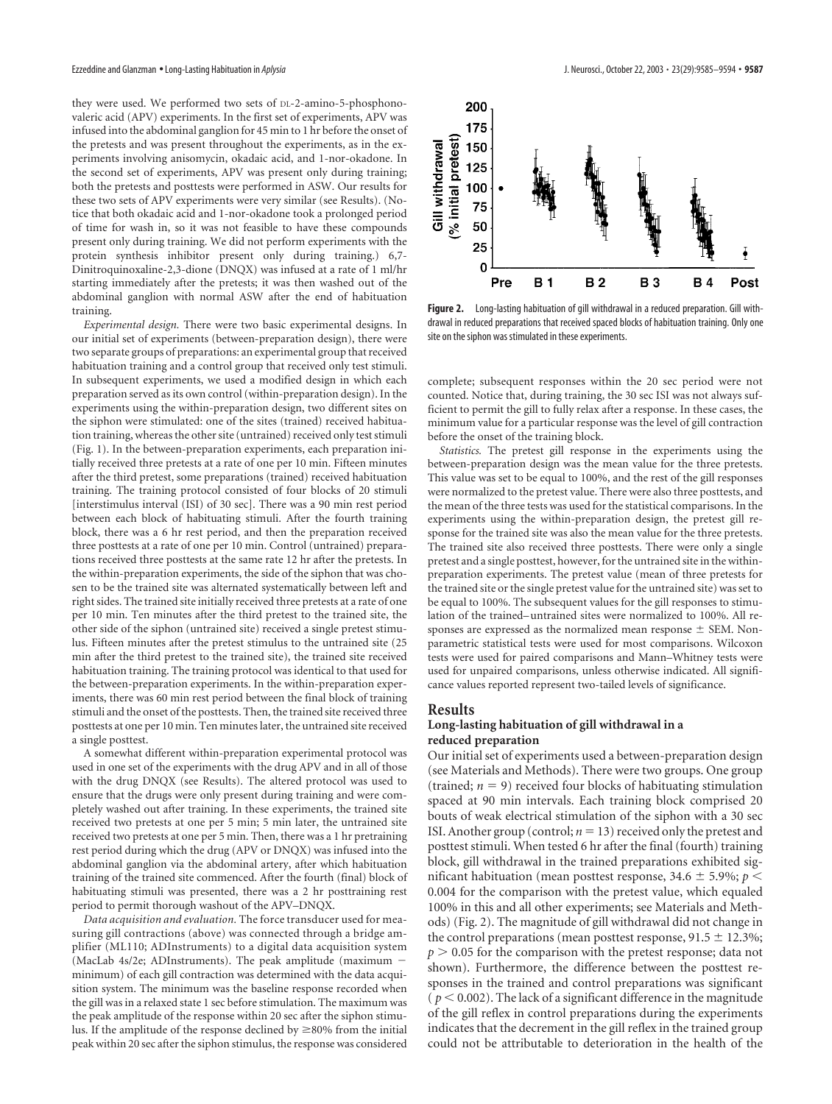they were used. We performed two sets of DL-2-amino-5-phosphonovaleric acid (APV) experiments. In the first set of experiments, APV was infused into the abdominal ganglion for 45 min to 1 hr before the onset of the pretests and was present throughout the experiments, as in the experiments involving anisomycin, okadaic acid, and 1-nor-okadone. In the second set of experiments, APV was present only during training; both the pretests and posttests were performed in ASW. Our results for these two sets of APV experiments were very similar (see Results). (Notice that both okadaic acid and 1-nor-okadone took a prolonged period of time for wash in, so it was not feasible to have these compounds present only during training. We did not perform experiments with the protein synthesis inhibitor present only during training.) 6,7- Dinitroquinoxaline-2,3-dione (DNQX) was infused at a rate of 1 ml/hr starting immediately after the pretests; it was then washed out of the abdominal ganglion with normal ASW after the end of habituation training.

*Experimental design.* There were two basic experimental designs. In our initial set of experiments (between-preparation design), there were two separate groups of preparations: an experimental group that received habituation training and a control group that received only test stimuli. In subsequent experiments, we used a modified design in which each preparation served as its own control (within-preparation design). In the experiments using the within-preparation design, two different sites on the siphon were stimulated: one of the sites (trained) received habituation training, whereas the other site (untrained) received only test stimuli (Fig. 1). In the between-preparation experiments, each preparation initially received three pretests at a rate of one per 10 min. Fifteen minutes after the third pretest, some preparations (trained) received habituation training. The training protocol consisted of four blocks of 20 stimuli [interstimulus interval (ISI) of 30 sec]. There was a 90 min rest period between each block of habituating stimuli. After the fourth training block, there was a 6 hr rest period, and then the preparation received three posttests at a rate of one per 10 min. Control (untrained) preparations received three posttests at the same rate 12 hr after the pretests. In the within-preparation experiments, the side of the siphon that was chosen to be the trained site was alternated systematically between left and right sides. The trained site initially received three pretests at a rate of one per 10 min. Ten minutes after the third pretest to the trained site, the other side of the siphon (untrained site) received a single pretest stimulus. Fifteen minutes after the pretest stimulus to the untrained site (25 min after the third pretest to the trained site), the trained site received habituation training. The training protocol was identical to that used for the between-preparation experiments. In the within-preparation experiments, there was 60 min rest period between the final block of training stimuli and the onset of the posttests. Then, the trained site received three posttests at one per 10 min. Ten minutes later, the untrained site received a single posttest.

A somewhat different within-preparation experimental protocol was used in one set of the experiments with the drug APV and in all of those with the drug DNQX (see Results). The altered protocol was used to ensure that the drugs were only present during training and were completely washed out after training. In these experiments, the trained site received two pretests at one per 5 min; 5 min later, the untrained site received two pretests at one per 5 min. Then, there was a 1 hr pretraining rest period during which the drug (APV or DNQX) was infused into the abdominal ganglion via the abdominal artery, after which habituation training of the trained site commenced. After the fourth (final) block of habituating stimuli was presented, there was a 2 hr posttraining rest period to permit thorough washout of the APV–DNQX.

*Data acquisition and evaluation.* The force transducer used for measuring gill contractions (above) was connected through a bridge amplifier (ML110; ADInstruments) to a digital data acquisition system (MacLab 4s/2e; ADInstruments). The peak amplitude (maximum minimum) of each gill contraction was determined with the data acquisition system. The minimum was the baseline response recorded when the gill was in a relaxed state 1 sec before stimulation. The maximum was the peak amplitude of the response within 20 sec after the siphon stimulus. If the amplitude of the response declined by  $\geq$ 80% from the initial peak within 20 sec after the siphon stimulus, the response was considered



**Figure 2.** Long-lasting habituation of gill withdrawal in a reduced preparation. Gill withdrawal in reduced preparations that received spaced blocks of habituation training. Only one site on the siphon was stimulated in these experiments.

complete; subsequent responses within the 20 sec period were not counted. Notice that, during training, the 30 sec ISI was not always sufficient to permit the gill to fully relax after a response. In these cases, the minimum value for a particular response was the level of gill contraction before the onset of the training block.

*Statistics.* The pretest gill response in the experiments using the between-preparation design was the mean value for the three pretests. This value was set to be equal to 100%, and the rest of the gill responses were normalized to the pretest value. There were also three posttests, and the mean of the three tests was used for the statistical comparisons. In the experiments using the within-preparation design, the pretest gill response for the trained site was also the mean value for the three pretests. The trained site also received three posttests. There were only a single pretest and a single posttest, however, for the untrained site in the withinpreparation experiments. The pretest value (mean of three pretests for the trained site or the single pretest value for the untrained site) was set to be equal to 100%. The subsequent values for the gill responses to stimulation of the trained–untrained sites were normalized to 100%. All responses are expressed as the normalized mean response  $\pm$  SEM. Nonparametric statistical tests were used for most comparisons. Wilcoxon tests were used for paired comparisons and Mann–Whitney tests were used for unpaired comparisons, unless otherwise indicated. All significance values reported represent two-tailed levels of significance.

#### **Results**

# **Long-lasting habituation of gill withdrawal in a reduced preparation**

Our initial set of experiments used a between-preparation design (see Materials and Methods). There were two groups. One group (trained;  $n = 9$ ) received four blocks of habituating stimulation spaced at 90 min intervals. Each training block comprised 20 bouts of weak electrical stimulation of the siphon with a 30 sec ISI. Another group (control;  $n = 13$ ) received only the pretest and posttest stimuli. When tested 6 hr after the final (fourth) training block, gill withdrawal in the trained preparations exhibited significant habituation (mean posttest response, 34.6  $\pm$  5.9%;  $p$  < 0.004 for the comparison with the pretest value, which equaled 100% in this and all other experiments; see Materials and Methods) (Fig. 2). The magnitude of gill withdrawal did not change in the control preparations (mean posttest response,  $91.5 \pm 12.3\%$ ;  $p > 0.05$  for the comparison with the pretest response; data not shown). Furthermore, the difference between the posttest responses in the trained and control preparations was significant  $(p < 0.002)$ . The lack of a significant difference in the magnitude of the gill reflex in control preparations during the experiments indicates that the decrement in the gill reflex in the trained group could not be attributable to deterioration in the health of the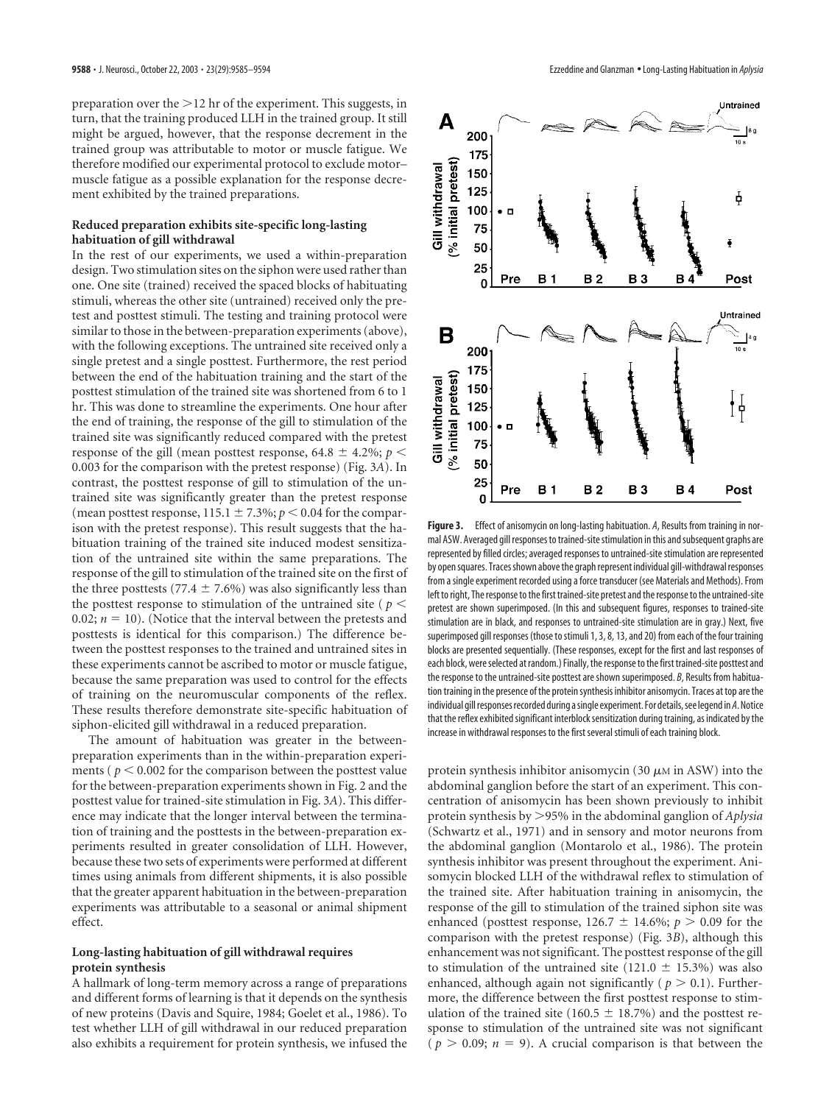preparation over the  $>12$  hr of the experiment. This suggests, in turn, that the training produced LLH in the trained group. It still might be argued, however, that the response decrement in the trained group was attributable to motor or muscle fatigue. We therefore modified our experimental protocol to exclude motor– muscle fatigue as a possible explanation for the response decrement exhibited by the trained preparations.

## **Reduced preparation exhibits site-specific long-lasting habituation of gill withdrawal**

In the rest of our experiments, we used a within-preparation design. Two stimulation sites on the siphon were used rather than one. One site (trained) received the spaced blocks of habituating stimuli, whereas the other site (untrained) received only the pretest and posttest stimuli. The testing and training protocol were similar to those in the between-preparation experiments (above), with the following exceptions. The untrained site received only a single pretest and a single posttest. Furthermore, the rest period between the end of the habituation training and the start of the posttest stimulation of the trained site was shortened from 6 to 1 hr. This was done to streamline the experiments. One hour after the end of training, the response of the gill to stimulation of the trained site was significantly reduced compared with the pretest response of the gill (mean posttest response, 64.8  $\pm$  4.2%; *p* < 0.003 for the comparison with the pretest response) (Fig. 3*A*). In contrast, the posttest response of gill to stimulation of the untrained site was significantly greater than the pretest response (mean posttest response,  $115.1 \pm 7.3\%$ ;  $p < 0.04$  for the comparison with the pretest response). This result suggests that the habituation training of the trained site induced modest sensitization of the untrained site within the same preparations. The response of the gill to stimulation of the trained site on the first of the three posttests (77.4  $\pm$  7.6%) was also significantly less than the posttest response to stimulation of the untrained site ( $p <$ 0.02;  $n = 10$ ). (Notice that the interval between the pretests and posttests is identical for this comparison.) The difference between the posttest responses to the trained and untrained sites in these experiments cannot be ascribed to motor or muscle fatigue, because the same preparation was used to control for the effects of training on the neuromuscular components of the reflex. These results therefore demonstrate site-specific habituation of siphon-elicited gill withdrawal in a reduced preparation.

The amount of habituation was greater in the betweenpreparation experiments than in the within-preparation experiments ( $p < 0.002$  for the comparison between the posttest value for the between-preparation experiments shown in Fig. 2 and the posttest value for trained-site stimulation in Fig. 3*A*). This difference may indicate that the longer interval between the termination of training and the posttests in the between-preparation experiments resulted in greater consolidation of LLH. However, because these two sets of experiments were performed at different times using animals from different shipments, it is also possible that the greater apparent habituation in the between-preparation experiments was attributable to a seasonal or animal shipment effect.

### **Long-lasting habituation of gill withdrawal requires protein synthesis**

A hallmark of long-term memory across a range of preparations and different forms of learning is that it depends on the synthesis of new proteins (Davis and Squire, 1984; Goelet et al., 1986). To test whether LLH of gill withdrawal in our reduced preparation also exhibits a requirement for protein synthesis, we infused the



**Figure 3.** Effect of anisomycin on long-lasting habituation. *A*, Results from training in normal ASW. Averaged gill responses to trained-site stimulation in this and subsequent graphs are represented by filled circles; averaged responses to untrained-site stimulation are represented by open squares. Traces shown above the graph represent individual gill-withdrawal responses from a single experiment recorded using a force transducer (see Materials and Methods). From left to right, The response to the first trained-site pretest and the response to the untrained-site pretest are shown superimposed. (In this and subsequent figures, responses to trained-site stimulation are in black, and responses to untrained-site stimulation are in gray.) Next, five superimposed gill responses (those to stimuli 1, 3, 8, 13, and 20) from each of the four training blocks are presented sequentially. (These responses, except for the first and last responses of each block, were selected at random.) Finally, the response to the first trained-site posttest and the response to the untrained-site posttest are shown superimposed. *B*, Results from habituation training in the presence of the protein synthesis inhibitor anisomycin. Traces at top are the individual gill responses recorded during a single experiment. For details, see legend in*A*. Notice that the reflex exhibited significant interblock sensitization during training, as indicated by the increase in withdrawal responses to the first several stimuli of each training block.

protein synthesis inhibitor anisomycin (30  $\mu$ M in ASW) into the abdominal ganglion before the start of an experiment. This concentration of anisomycin has been shown previously to inhibit protein synthesis by 95% in the abdominal ganglion of *Aplysia* (Schwartz et al., 1971) and in sensory and motor neurons from the abdominal ganglion (Montarolo et al., 1986). The protein synthesis inhibitor was present throughout the experiment. Anisomycin blocked LLH of the withdrawal reflex to stimulation of the trained site. After habituation training in anisomycin, the response of the gill to stimulation of the trained siphon site was enhanced (posttest response,  $126.7 \pm 14.6\%$ ;  $p > 0.09$  for the comparison with the pretest response) (Fig. 3*B*), although this enhancement was not significant. The posttest response of the gill to stimulation of the untrained site (121.0  $\pm$  15.3%) was also enhanced, although again not significantly ( $p > 0.1$ ). Furthermore, the difference between the first posttest response to stimulation of the trained site (160.5  $\pm$  18.7%) and the posttest response to stimulation of the untrained site was not significant  $(p > 0.09; n = 9)$ . A crucial comparison is that between the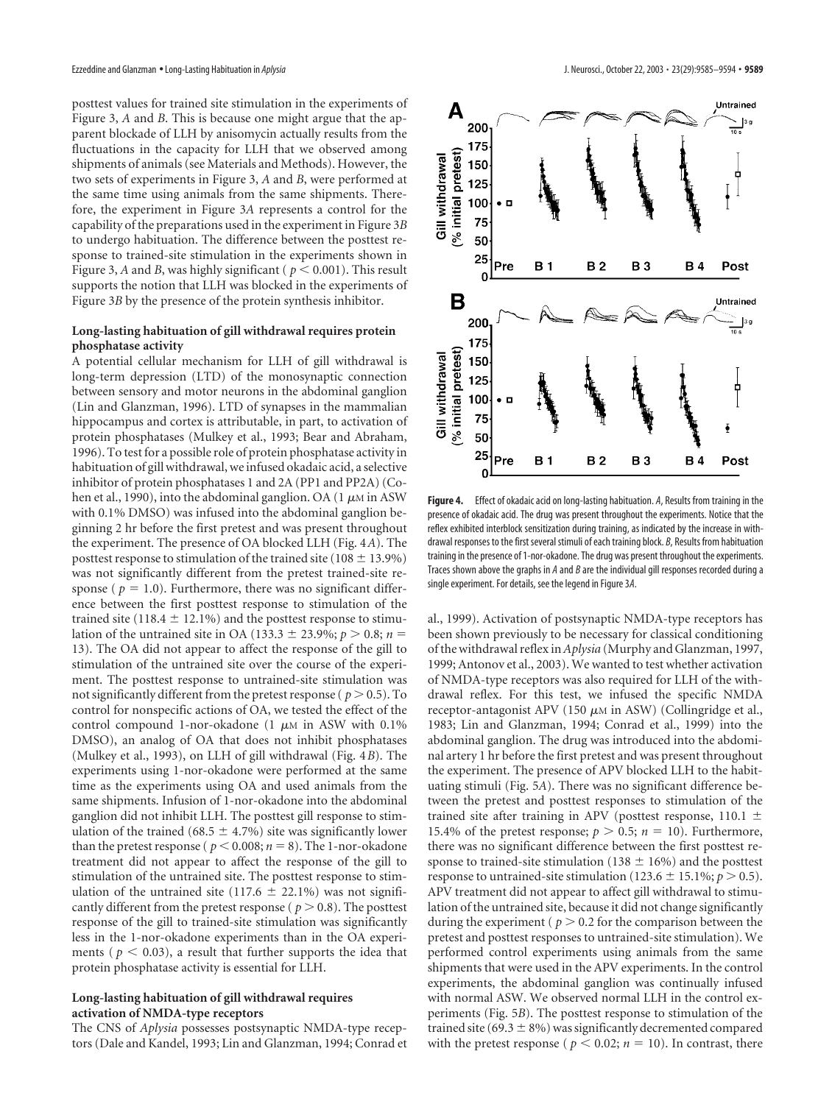posttest values for trained site stimulation in the experiments of Figure 3, *A* and *B*. This is because one might argue that the apparent blockade of LLH by anisomycin actually results from the fluctuations in the capacity for LLH that we observed among shipments of animals (see Materials and Methods). However, the two sets of experiments in Figure 3, *A* and *B*, were performed at the same time using animals from the same shipments. Therefore, the experiment in Figure 3*A* represents a control for the capability of the preparations used in the experiment in Figure 3*B* to undergo habituation. The difference between the posttest response to trained-site stimulation in the experiments shown in Figure 3, A and B, was highly significant ( $p < 0.001$ ). This result supports the notion that LLH was blocked in the experiments of Figure 3*B* by the presence of the protein synthesis inhibitor.

# **Long-lasting habituation of gill withdrawal requires protein phosphatase activity**

A potential cellular mechanism for LLH of gill withdrawal is long-term depression (LTD) of the monosynaptic connection between sensory and motor neurons in the abdominal ganglion (Lin and Glanzman, 1996). LTD of synapses in the mammalian hippocampus and cortex is attributable, in part, to activation of protein phosphatases (Mulkey et al., 1993; Bear and Abraham, 1996). To test for a possible role of protein phosphatase activity in habituation of gill withdrawal, we infused okadaic acid, a selective inhibitor of protein phosphatases 1 and 2A (PP1 and PP2A) (Cohen et al., 1990), into the abdominal ganglion. OA  $(1 \mu M)$  in ASW with 0.1% DMSO) was infused into the abdominal ganglion beginning 2 hr before the first pretest and was present throughout the experiment. The presence of OA blocked LLH (Fig. 4*A*). The posttest response to stimulation of the trained site (108  $\pm$  13.9%) was not significantly different from the pretest trained-site response ( $p = 1.0$ ). Furthermore, there was no significant difference between the first posttest response to stimulation of the trained site (118.4  $\pm$  12.1%) and the posttest response to stimulation of the untrained site in OA (133.3  $\pm$  23.9%; *p* > 0.8; *n* = 13). The OA did not appear to affect the response of the gill to stimulation of the untrained site over the course of the experiment. The posttest response to untrained-site stimulation was not significantly different from the pretest response ( $p > 0.5$ ). To control for nonspecific actions of OA, we tested the effect of the control compound 1-nor-okadone (1  $\mu$ M in ASW with 0.1%) DMSO), an analog of OA that does not inhibit phosphatases (Mulkey et al., 1993), on LLH of gill withdrawal (Fig. 4*B*). The experiments using 1-nor-okadone were performed at the same time as the experiments using OA and used animals from the same shipments. Infusion of 1-nor-okadone into the abdominal ganglion did not inhibit LLH. The posttest gill response to stimulation of the trained (68.5  $\pm$  4.7%) site was significantly lower than the pretest response ( $p < 0.008$ ;  $n = 8$ ). The 1-nor-okadone treatment did not appear to affect the response of the gill to stimulation of the untrained site. The posttest response to stimulation of the untrained site (117.6  $\pm$  22.1%) was not significantly different from the pretest response ( $p > 0.8$ ). The posttest response of the gill to trained-site stimulation was significantly less in the 1-nor-okadone experiments than in the OA experiments ( $p < 0.03$ ), a result that further supports the idea that protein phosphatase activity is essential for LLH.

#### **Long-lasting habituation of gill withdrawal requires activation of NMDA-type receptors**

The CNS of *Aplysia* possesses postsynaptic NMDA-type receptors (Dale and Kandel, 1993; Lin and Glanzman, 1994; Conrad et



**Figure 4.** Effect of okadaic acid on long-lasting habituation. *A*, Results from training in the presence of okadaic acid. The drug was present throughout the experiments. Notice that the reflex exhibited interblock sensitization during training, as indicated by the increase in withdrawal responses to the first several stimuli of each training block. *B*, Results from habituation training in the presence of 1-nor-okadone. The drug was present throughout the experiments. Traces shown above the graphs in *A* and *B* are the individual gill responses recorded during a single experiment. For details, see the legend in Figure 3*A*.

al., 1999). Activation of postsynaptic NMDA-type receptors has been shown previously to be necessary for classical conditioning of the withdrawal reflex in*Aplysia* (Murphy and Glanzman, 1997, 1999; Antonov et al., 2003). We wanted to test whether activation of NMDA-type receptors was also required for LLH of the withdrawal reflex. For this test, we infused the specific NMDA receptor-antagonist APV (150  $\mu$ M in ASW) (Collingridge et al., 1983; Lin and Glanzman, 1994; Conrad et al., 1999) into the abdominal ganglion. The drug was introduced into the abdominal artery 1 hr before the first pretest and was present throughout the experiment. The presence of APV blocked LLH to the habituating stimuli (Fig. 5*A*). There was no significant difference between the pretest and posttest responses to stimulation of the trained site after training in APV (posttest response, 110.1  $\pm$ 15.4% of the pretest response;  $p > 0.5$ ;  $n = 10$ ). Furthermore, there was no significant difference between the first posttest response to trained-site stimulation (138  $\pm$  16%) and the posttest response to untrained-site stimulation (123.6  $\pm$  15.1%; *p* > 0.5). APV treatment did not appear to affect gill withdrawal to stimulation of the untrained site, because it did not change significantly during the experiment ( $p > 0.2$  for the comparison between the pretest and posttest responses to untrained-site stimulation). We performed control experiments using animals from the same shipments that were used in the APV experiments. In the control experiments, the abdominal ganglion was continually infused with normal ASW. We observed normal LLH in the control experiments (Fig. 5*B*). The posttest response to stimulation of the trained site (69.3  $\pm$  8%) was significantly decremented compared with the pretest response ( $p < 0.02$ ;  $n = 10$ ). In contrast, there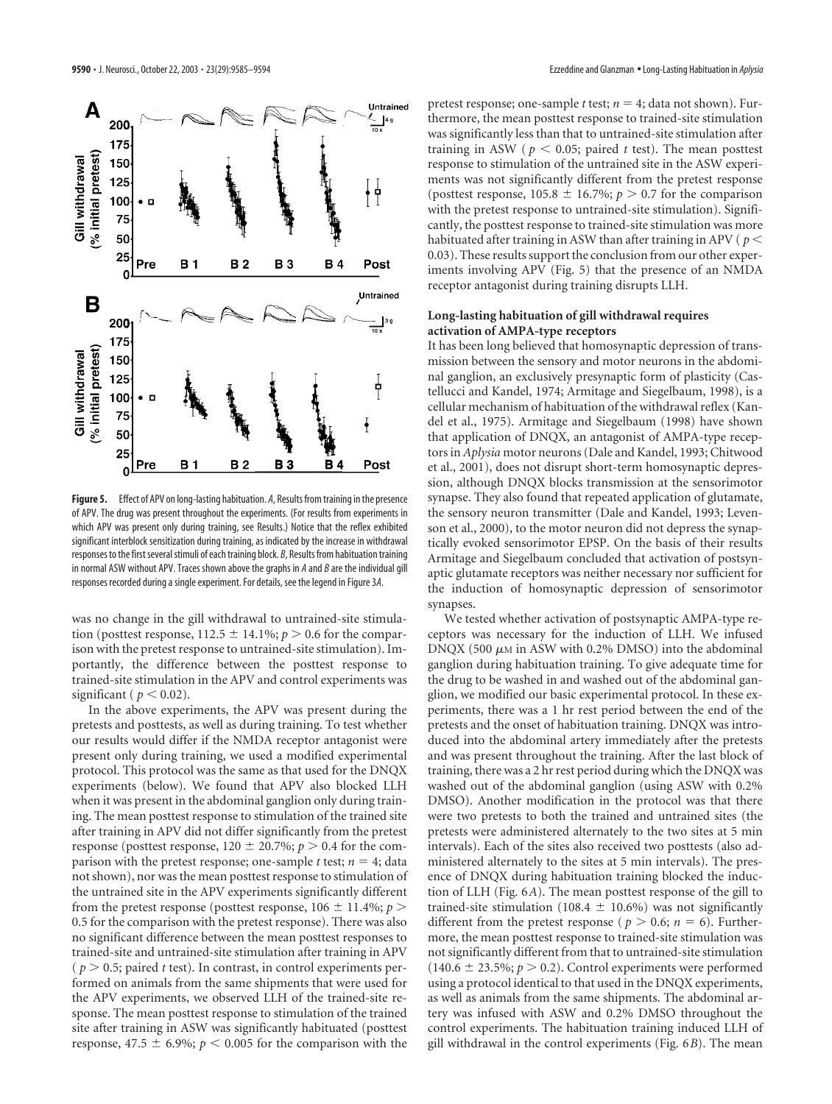

**Figure 5.** Effect of APV on long-lasting habituation. *A*, Results from training in the presence of APV. The drug was present throughout the experiments. (For results from experiments in which APV was present only during training, see Results.) Notice that the reflex exhibited significant interblock sensitization during training, as indicated by the increase in withdrawal responses to the first several stimuli of each training block. *B*, Results from habituation training in normal ASW without APV. Traces shown above the graphs in *A* and *B* are the individual gill responses recorded during a single experiment. For details, see the legend in Figure 3*A*.

was no change in the gill withdrawal to untrained-site stimulation (posttest response,  $112.5 \pm 14.1\%$ ;  $p > 0.6$  for the comparison with the pretest response to untrained-site stimulation). Importantly, the difference between the posttest response to trained-site stimulation in the APV and control experiments was significant ( $p < 0.02$ ).

In the above experiments, the APV was present during the pretests and posttests, as well as during training. To test whether our results would differ if the NMDA receptor antagonist were present only during training, we used a modified experimental protocol. This protocol was the same as that used for the DNQX experiments (below). We found that APV also blocked LLH when it was present in the abdominal ganglion only during training. The mean posttest response to stimulation of the trained site after training in APV did not differ significantly from the pretest response (posttest response,  $120 \pm 20.7\%$ ;  $p > 0.4$  for the comparison with the pretest response; one-sample *t* test;  $n = 4$ ; data not shown), nor was the mean posttest response to stimulation of the untrained site in the APV experiments significantly different from the pretest response (posttest response,  $106 \pm 11.4\%$ ;  $p >$ 0.5 for the comparison with the pretest response). There was also no significant difference between the mean posttest responses to trained-site and untrained-site stimulation after training in APV  $(p > 0.5;$  paired *t* test). In contrast, in control experiments performed on animals from the same shipments that were used for the APV experiments, we observed LLH of the trained-site response. The mean posttest response to stimulation of the trained site after training in ASW was significantly habituated (posttest response, 47.5  $\pm$  6.9%;  $p < 0.005$  for the comparison with the

pretest response; one-sample  $t$  test;  $n = 4$ ; data not shown). Furthermore, the mean posttest response to trained-site stimulation was significantly less than that to untrained-site stimulation after training in ASW ( $p < 0.05$ ; paired *t* test). The mean posttest response to stimulation of the untrained site in the ASW experiments was not significantly different from the pretest response (posttest response,  $105.8 \pm 16.7\%$ ;  $p > 0.7$  for the comparison with the pretest response to untrained-site stimulation). Significantly, the posttest response to trained-site stimulation was more habituated after training in ASW than after training in APV ( *p* 0.03). These results support the conclusion from our other experiments involving APV (Fig. 5) that the presence of an NMDA receptor antagonist during training disrupts LLH.

# **Long-lasting habituation of gill withdrawal requires activation of AMPA-type receptors**

It has been long believed that homosynaptic depression of transmission between the sensory and motor neurons in the abdominal ganglion, an exclusively presynaptic form of plasticity (Castellucci and Kandel, 1974; Armitage and Siegelbaum, 1998), is a cellular mechanism of habituation of the withdrawal reflex (Kandel et al., 1975). Armitage and Siegelbaum (1998) have shown that application of DNQX, an antagonist of AMPA-type receptors in *Aplysia* motor neurons (Dale and Kandel, 1993; Chitwood et al., 2001), does not disrupt short-term homosynaptic depression, although DNQX blocks transmission at the sensorimotor synapse. They also found that repeated application of glutamate, the sensory neuron transmitter (Dale and Kandel, 1993; Levenson et al., 2000), to the motor neuron did not depress the synaptically evoked sensorimotor EPSP. On the basis of their results Armitage and Siegelbaum concluded that activation of postsynaptic glutamate receptors was neither necessary nor sufficient for the induction of homosynaptic depression of sensorimotor synapses.

We tested whether activation of postsynaptic AMPA-type receptors was necessary for the induction of LLH. We infused DNQX (500  $\mu$ M in ASW with 0.2% DMSO) into the abdominal ganglion during habituation training. To give adequate time for the drug to be washed in and washed out of the abdominal ganglion, we modified our basic experimental protocol. In these experiments, there was a 1 hr rest period between the end of the pretests and the onset of habituation training. DNQX was introduced into the abdominal artery immediately after the pretests and was present throughout the training. After the last block of training, there was a 2 hr rest period during which the DNQX was washed out of the abdominal ganglion (using ASW with 0.2% DMSO). Another modification in the protocol was that there were two pretests to both the trained and untrained sites (the pretests were administered alternately to the two sites at 5 min intervals). Each of the sites also received two posttests (also administered alternately to the sites at 5 min intervals). The presence of DNQX during habituation training blocked the induction of LLH (Fig. 6*A*). The mean posttest response of the gill to trained-site stimulation (108.4  $\pm$  10.6%) was not significantly different from the pretest response ( $p > 0.6$ ;  $n = 6$ ). Furthermore, the mean posttest response to trained-site stimulation was not significantly different from that to untrained-site stimulation  $(140.6 \pm 23.5\%; p > 0.2)$ . Control experiments were performed using a protocol identical to that used in the DNQX experiments, as well as animals from the same shipments. The abdominal artery was infused with ASW and 0.2% DMSO throughout the control experiments. The habituation training induced LLH of gill withdrawal in the control experiments (Fig. 6*B*). The mean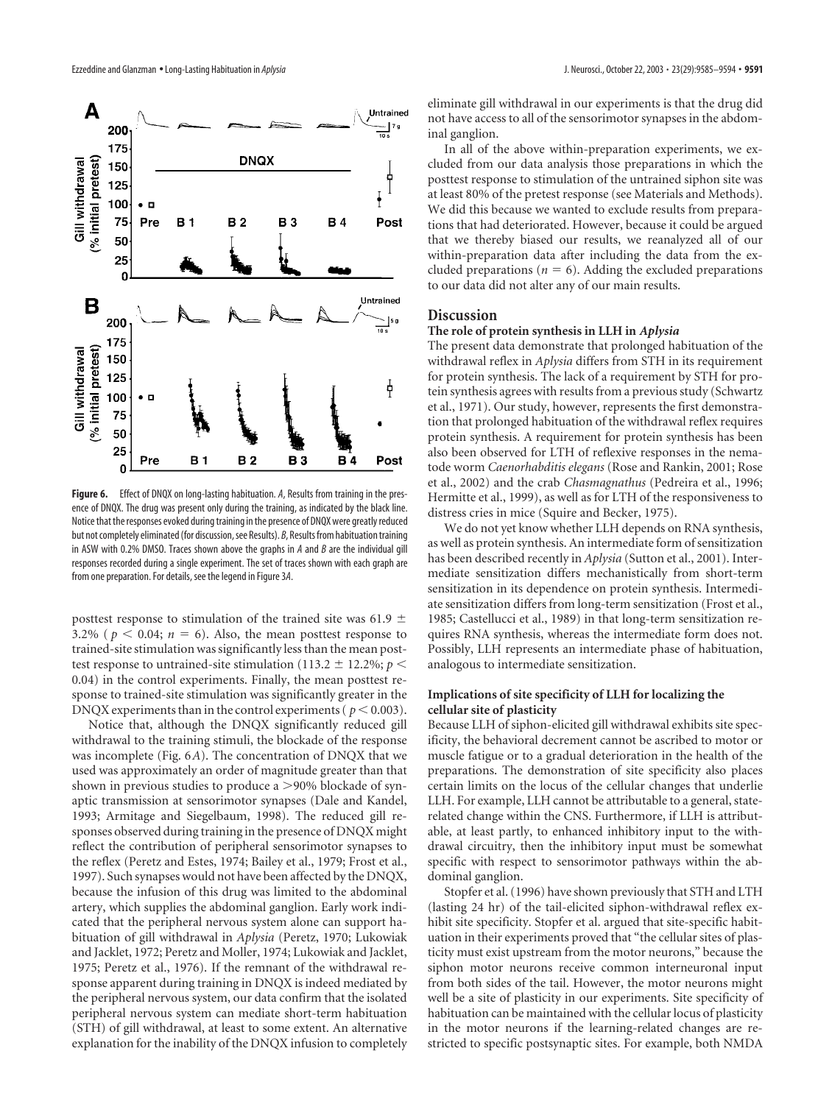

**Figure 6.** Effect of DNQX on long-lasting habituation. *A*, Results from training in the presence of DNQX. The drug was present only during the training, as indicated by the black line. Notice that the responses evoked during training in the presence of DNQX were greatly reduced but not completely eliminated (for discussion, see Results). *B*, Results from habituation training in ASW with 0.2% DMSO. Traces shown above the graphs in *A* and *B* are the individual gill responses recorded during a single experiment. The set of traces shown with each graph are from one preparation. For details, see the legend in Figure 3*A*.

posttest response to stimulation of the trained site was 61.9  $\pm$ 3.2% ( $p < 0.04$ ;  $n = 6$ ). Also, the mean posttest response to trained-site stimulation was significantly less than the mean posttest response to untrained-site stimulation (113.2  $\pm$  12.2%; *p* < 0.04) in the control experiments. Finally, the mean posttest response to trained-site stimulation was significantly greater in the DNQX experiments than in the control experiments ( $p < 0.003$ ).

Notice that, although the DNQX significantly reduced gill withdrawal to the training stimuli, the blockade of the response was incomplete (Fig. 6*A*). The concentration of DNQX that we used was approximately an order of magnitude greater than that shown in previous studies to produce a  $>$ 90% blockade of synaptic transmission at sensorimotor synapses (Dale and Kandel, 1993; Armitage and Siegelbaum, 1998). The reduced gill responses observed during training in the presence of DNQX might reflect the contribution of peripheral sensorimotor synapses to the reflex (Peretz and Estes, 1974; Bailey et al., 1979; Frost et al., 1997). Such synapses would not have been affected by the DNQX, because the infusion of this drug was limited to the abdominal artery, which supplies the abdominal ganglion. Early work indicated that the peripheral nervous system alone can support habituation of gill withdrawal in *Aplysia* (Peretz, 1970; Lukowiak and Jacklet, 1972; Peretz and Moller, 1974; Lukowiak and Jacklet, 1975; Peretz et al., 1976). If the remnant of the withdrawal response apparent during training in DNQX is indeed mediated by the peripheral nervous system, our data confirm that the isolated peripheral nervous system can mediate short-term habituation (STH) of gill withdrawal, at least to some extent. An alternative explanation for the inability of the DNQX infusion to completely

eliminate gill withdrawal in our experiments is that the drug did not have access to all of the sensorimotor synapses in the abdominal ganglion.

In all of the above within-preparation experiments, we excluded from our data analysis those preparations in which the posttest response to stimulation of the untrained siphon site was at least 80% of the pretest response (see Materials and Methods). We did this because we wanted to exclude results from preparations that had deteriorated. However, because it could be argued that we thereby biased our results, we reanalyzed all of our within-preparation data after including the data from the excluded preparations ( $n = 6$ ). Adding the excluded preparations to our data did not alter any of our main results.

# **Discussion**

#### **The role of protein synthesis in LLH in** *Aplysia*

The present data demonstrate that prolonged habituation of the withdrawal reflex in *Aplysia* differs from STH in its requirement for protein synthesis. The lack of a requirement by STH for protein synthesis agrees with results from a previous study (Schwartz et al., 1971). Our study, however, represents the first demonstration that prolonged habituation of the withdrawal reflex requires protein synthesis. A requirement for protein synthesis has been also been observed for LTH of reflexive responses in the nematode worm *Caenorhabditis elegans* (Rose and Rankin, 2001; Rose et al., 2002) and the crab *Chasmagnathus* (Pedreira et al., 1996; Hermitte et al., 1999), as well as for LTH of the responsiveness to distress cries in mice (Squire and Becker, 1975).

We do not yet know whether LLH depends on RNA synthesis, as well as protein synthesis. An intermediate form of sensitization has been described recently in *Aplysia* (Sutton et al., 2001). Intermediate sensitization differs mechanistically from short-term sensitization in its dependence on protein synthesis. Intermediate sensitization differs from long-term sensitization (Frost et al., 1985; Castellucci et al., 1989) in that long-term sensitization requires RNA synthesis, whereas the intermediate form does not. Possibly, LLH represents an intermediate phase of habituation, analogous to intermediate sensitization.

#### **Implications of site specificity of LLH for localizing the cellular site of plasticity**

Because LLH of siphon-elicited gill withdrawal exhibits site specificity, the behavioral decrement cannot be ascribed to motor or muscle fatigue or to a gradual deterioration in the health of the preparations. The demonstration of site specificity also places certain limits on the locus of the cellular changes that underlie LLH. For example, LLH cannot be attributable to a general, staterelated change within the CNS. Furthermore, if LLH is attributable, at least partly, to enhanced inhibitory input to the withdrawal circuitry, then the inhibitory input must be somewhat specific with respect to sensorimotor pathways within the abdominal ganglion.

Stopfer et al. (1996) have shown previously that STH and LTH (lasting 24 hr) of the tail-elicited siphon-withdrawal reflex exhibit site specificity. Stopfer et al. argued that site-specific habituation in their experiments proved that "the cellular sites of plasticity must exist upstream from the motor neurons," because the siphon motor neurons receive common interneuronal input from both sides of the tail. However, the motor neurons might well be a site of plasticity in our experiments. Site specificity of habituation can be maintained with the cellular locus of plasticity in the motor neurons if the learning-related changes are restricted to specific postsynaptic sites. For example, both NMDA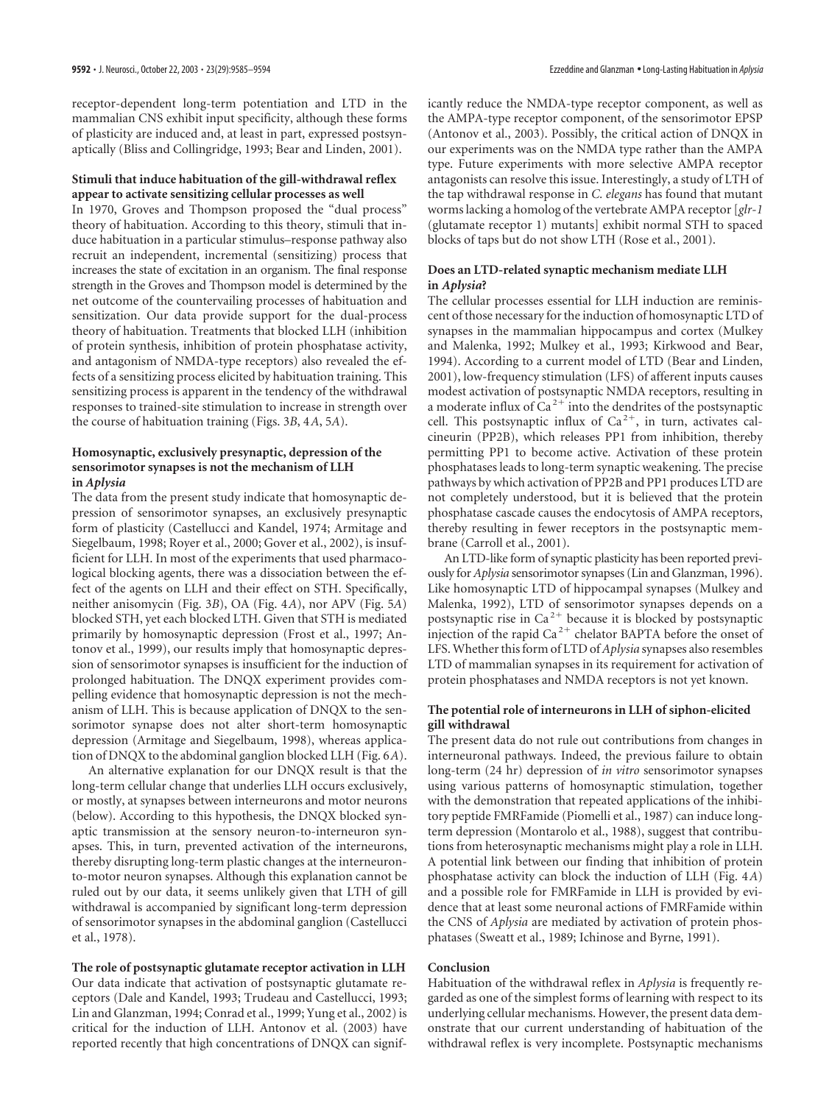receptor-dependent long-term potentiation and LTD in the mammalian CNS exhibit input specificity, although these forms of plasticity are induced and, at least in part, expressed postsynaptically (Bliss and Collingridge, 1993; Bear and Linden, 2001).

# **Stimuli that induce habituation of the gill-withdrawal reflex appear to activate sensitizing cellular processes as well**

In 1970, Groves and Thompson proposed the "dual process" theory of habituation. According to this theory, stimuli that induce habituation in a particular stimulus–response pathway also recruit an independent, incremental (sensitizing) process that increases the state of excitation in an organism. The final response strength in the Groves and Thompson model is determined by the net outcome of the countervailing processes of habituation and sensitization. Our data provide support for the dual-process theory of habituation. Treatments that blocked LLH (inhibition of protein synthesis, inhibition of protein phosphatase activity, and antagonism of NMDA-type receptors) also revealed the effects of a sensitizing process elicited by habituation training. This sensitizing process is apparent in the tendency of the withdrawal responses to trained-site stimulation to increase in strength over the course of habituation training (Figs. 3*B*, 4*A*, 5*A*).

### **Homosynaptic, exclusively presynaptic, depression of the sensorimotor synapses is not the mechanism of LLH in** *Aplysia*

The data from the present study indicate that homosynaptic depression of sensorimotor synapses, an exclusively presynaptic form of plasticity (Castellucci and Kandel, 1974; Armitage and Siegelbaum, 1998; Royer et al., 2000; Gover et al., 2002), is insufficient for LLH. In most of the experiments that used pharmacological blocking agents, there was a dissociation between the effect of the agents on LLH and their effect on STH. Specifically, neither anisomycin (Fig. 3*B*), OA (Fig. 4*A*), nor APV (Fig. 5*A*) blocked STH, yet each blocked LTH. Given that STH is mediated primarily by homosynaptic depression (Frost et al., 1997; Antonov et al., 1999), our results imply that homosynaptic depression of sensorimotor synapses is insufficient for the induction of prolonged habituation. The DNQX experiment provides compelling evidence that homosynaptic depression is not the mechanism of LLH. This is because application of DNQX to the sensorimotor synapse does not alter short-term homosynaptic depression (Armitage and Siegelbaum, 1998), whereas application of DNQX to the abdominal ganglion blocked LLH (Fig. 6*A*).

An alternative explanation for our DNQX result is that the long-term cellular change that underlies LLH occurs exclusively, or mostly, at synapses between interneurons and motor neurons (below). According to this hypothesis, the DNQX blocked synaptic transmission at the sensory neuron-to-interneuron synapses. This, in turn, prevented activation of the interneurons, thereby disrupting long-term plastic changes at the interneuronto-motor neuron synapses. Although this explanation cannot be ruled out by our data, it seems unlikely given that LTH of gill withdrawal is accompanied by significant long-term depression of sensorimotor synapses in the abdominal ganglion (Castellucci et al., 1978).

**The role of postsynaptic glutamate receptor activation in LLH** Our data indicate that activation of postsynaptic glutamate receptors (Dale and Kandel, 1993; Trudeau and Castellucci, 1993; Lin and Glanzman, 1994; Conrad et al., 1999; Yung et al., 2002) is critical for the induction of LLH. Antonov et al. (2003) have reported recently that high concentrations of DNQX can significantly reduce the NMDA-type receptor component, as well as the AMPA-type receptor component, of the sensorimotor EPSP (Antonov et al., 2003). Possibly, the critical action of DNQX in our experiments was on the NMDA type rather than the AMPA type. Future experiments with more selective AMPA receptor antagonists can resolve this issue. Interestingly, a study of LTH of the tap withdrawal response in *C. elegans* has found that mutant worms lacking a homolog of the vertebrate AMPA receptor [*glr-1* (glutamate receptor 1) mutants] exhibit normal STH to spaced blocks of taps but do not show LTH (Rose et al., 2001).

# **Does an LTD-related synaptic mechanism mediate LLH in** *Aplysia***?**

The cellular processes essential for LLH induction are reminiscent of those necessary for the induction of homosynaptic LTD of synapses in the mammalian hippocampus and cortex (Mulkey and Malenka, 1992; Mulkey et al., 1993; Kirkwood and Bear, 1994). According to a current model of LTD (Bear and Linden, 2001), low-frequency stimulation (LFS) of afferent inputs causes modest activation of postsynaptic NMDA receptors, resulting in a moderate influx of  $Ca^{2+}$  into the dendrites of the postsynaptic cell. This postsynaptic influx of  $Ca^{2+}$ , in turn, activates calcineurin (PP2B), which releases PP1 from inhibition, thereby permitting PP1 to become active. Activation of these protein phosphatases leads to long-term synaptic weakening. The precise pathways by which activation of PP2B and PP1 produces LTD are not completely understood, but it is believed that the protein phosphatase cascade causes the endocytosis of AMPA receptors, thereby resulting in fewer receptors in the postsynaptic membrane (Carroll et al., 2001).

An LTD-like form of synaptic plasticity has been reported previously for *Aplysia* sensorimotor synapses (Lin and Glanzman, 1996). Like homosynaptic LTD of hippocampal synapses (Mulkey and Malenka, 1992), LTD of sensorimotor synapses depends on a postsynaptic rise in  $Ca^{2+}$  because it is blocked by postsynaptic injection of the rapid  $Ca^{2+}$  chelator BAPTA before the onset of LFS. Whether this form of LTD of*Aplysia* synapses also resembles LTD of mammalian synapses in its requirement for activation of protein phosphatases and NMDA receptors is not yet known.

# **The potential role of interneurons in LLH of siphon-elicited gill withdrawal**

The present data do not rule out contributions from changes in interneuronal pathways. Indeed, the previous failure to obtain long-term (24 hr) depression of *in vitro* sensorimotor synapses using various patterns of homosynaptic stimulation, together with the demonstration that repeated applications of the inhibitory peptide FMRFamide (Piomelli et al., 1987) can induce longterm depression (Montarolo et al., 1988), suggest that contributions from heterosynaptic mechanisms might play a role in LLH. A potential link between our finding that inhibition of protein phosphatase activity can block the induction of LLH (Fig. 4*A*) and a possible role for FMRFamide in LLH is provided by evidence that at least some neuronal actions of FMRFamide within the CNS of *Aplysia* are mediated by activation of protein phosphatases (Sweatt et al., 1989; Ichinose and Byrne, 1991).

#### **Conclusion**

Habituation of the withdrawal reflex in *Aplysia* is frequently regarded as one of the simplest forms of learning with respect to its underlying cellular mechanisms. However, the present data demonstrate that our current understanding of habituation of the withdrawal reflex is very incomplete. Postsynaptic mechanisms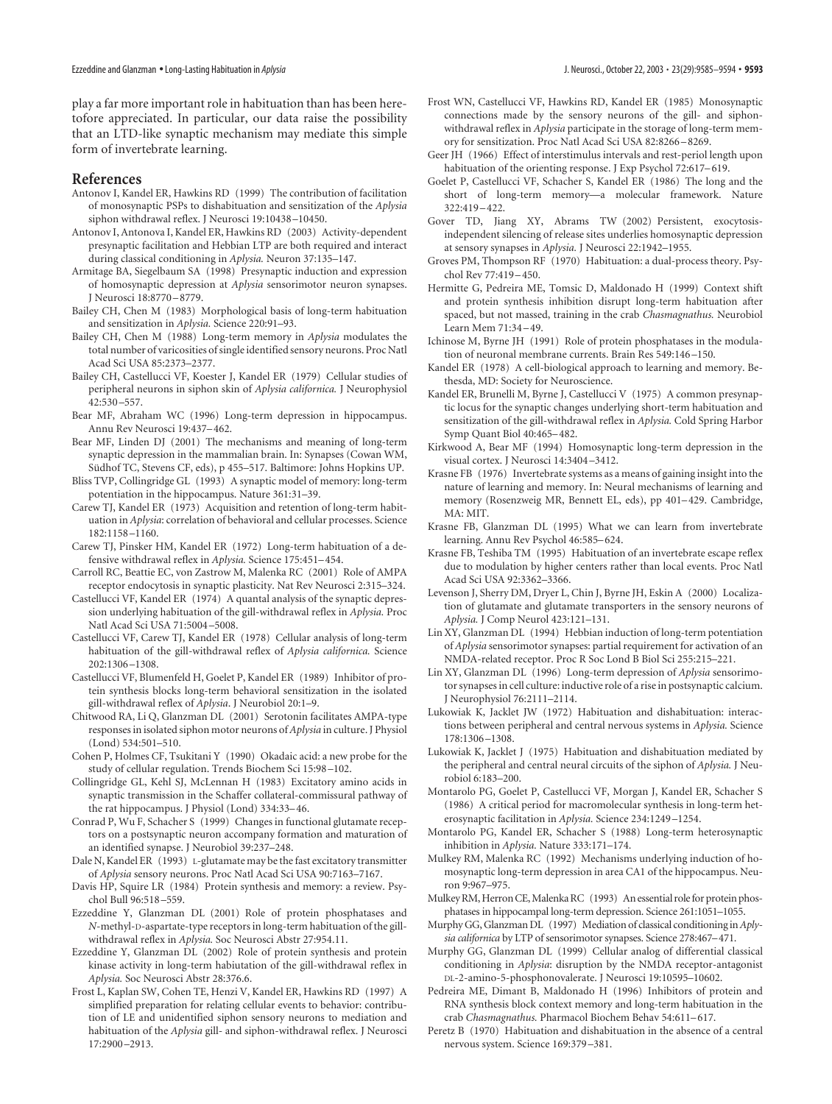play a far more important role in habituation than has been heretofore appreciated. In particular, our data raise the possibility that an LTD-like synaptic mechanism may mediate this simple form of invertebrate learning.

# **References**

- Antonov I, Kandel ER, Hawkins RD (1999) The contribution of facilitation of monosynaptic PSPs to dishabituation and sensitization of the *Aplysia* siphon withdrawal reflex. J Neurosci 19:10438–10450.
- Antonov I, Antonova I, Kandel ER, Hawkins RD (2003) Activity-dependent presynaptic facilitation and Hebbian LTP are both required and interact during classical conditioning in *Aplysia.* Neuron 37:135–147.
- Armitage BA, Siegelbaum SA (1998) Presynaptic induction and expression of homosynaptic depression at *Aplysia* sensorimotor neuron synapses. J Neurosci 18:8770–8779.
- Bailey CH, Chen M (1983) Morphological basis of long-term habituation and sensitization in *Aplysia.* Science 220:91–93.
- Bailey CH, Chen M (1988) Long-term memory in *Aplysia* modulates the total number of varicosities of single identified sensory neurons. Proc Natl Acad Sci USA 85:2373–2377.
- Bailey CH, Castellucci VF, Koester J, Kandel ER (1979) Cellular studies of peripheral neurons in siphon skin of *Aplysia californica.* J Neurophysiol 42:530–557.
- Bear MF, Abraham WC (1996) Long-term depression in hippocampus. Annu Rev Neurosci 19:437–462.
- Bear MF, Linden DJ (2001) The mechanisms and meaning of long-term synaptic depression in the mammalian brain. In: Synapses (Cowan WM, Südhof TC, Stevens CF, eds), p 455-517. Baltimore: Johns Hopkins UP.
- Bliss TVP, Collingridge GL (1993) A synaptic model of memory: long-term potentiation in the hippocampus. Nature 361:31–39.
- Carew TJ, Kandel ER (1973) Acquisition and retention of long-term habituation in *Aplysia*: correlation of behavioral and cellular processes. Science 182:1158–1160.
- Carew TJ, Pinsker HM, Kandel ER (1972) Long-term habituation of a defensive withdrawal reflex in *Aplysia.* Science 175:451–454.
- Carroll RC, Beattie EC, von Zastrow M, Malenka RC (2001) Role of AMPA receptor endocytosis in synaptic plasticity. Nat Rev Neurosci 2:315–324.
- Castellucci VF, Kandel ER (1974) A quantal analysis of the synaptic depression underlying habituation of the gill-withdrawal reflex in *Aplysia.* Proc Natl Acad Sci USA 71:5004–5008.
- Castellucci VF, Carew TJ, Kandel ER (1978) Cellular analysis of long-term habituation of the gill-withdrawal reflex of *Aplysia californica.* Science 202:1306–1308.
- Castellucci VF, Blumenfeld H, Goelet P, Kandel ER (1989) Inhibitor of protein synthesis blocks long-term behavioral sensitization in the isolated gill-withdrawal reflex of *Aplysia*. J Neurobiol 20:1–9.
- Chitwood RA, Li Q, Glanzman DL (2001) Serotonin facilitates AMPA-type responses in isolated siphon motor neurons of*Aplysia* in culture. J Physiol (Lond) 534:501–510.
- Cohen P, Holmes CF, Tsukitani Y (1990) Okadaic acid: a new probe for the study of cellular regulation. Trends Biochem Sci 15:98–102.
- Collingridge GL, Kehl SJ, McLennan H (1983) Excitatory amino acids in synaptic transmission in the Schaffer collateral-commissural pathway of the rat hippocampus. J Physiol (Lond) 334:33–46.
- Conrad P, Wu F, Schacher S (1999) Changes in functional glutamate receptors on a postsynaptic neuron accompany formation and maturation of an identified synapse. J Neurobiol 39:237–248.
- Dale N, Kandel ER (1993) L-glutamate may be the fast excitatory transmitter of *Aplysia* sensory neurons. Proc Natl Acad Sci USA 90:7163–7167.
- Davis HP, Squire LR (1984) Protein synthesis and memory: a review. Psychol Bull 96:518–559.
- Ezzeddine Y, Glanzman DL (2001) Role of protein phosphatases and *N*-methyl-D-aspartate-type receptors in long-term habituation of the gillwithdrawal reflex in *Aplysia.* Soc Neurosci Abstr 27:954.11.
- Ezzeddine Y, Glanzman DL (2002) Role of protein synthesis and protein kinase activity in long-term habiutation of the gill-withdrawal reflex in *Aplysia.* Soc Neurosci Abstr 28:376.6.
- Frost L, Kaplan SW, Cohen TE, Henzi V, Kandel ER, Hawkins RD (1997) A simplified preparation for relating cellular events to behavior: contribution of LE and unidentified siphon sensory neurons to mediation and habituation of the *Aplysia* gill- and siphon-withdrawal reflex. J Neurosci 17:2900–2913.
- Frost WN, Castellucci VF, Hawkins RD, Kandel ER (1985) Monosynaptic connections made by the sensory neurons of the gill- and siphonwithdrawal reflex in *Aplysia* participate in the storage of long-term memory for sensitization. Proc Natl Acad Sci USA 82:8266–8269.
- Geer JH (1966) Effect of interstimulus intervals and rest-periol length upon habituation of the orienting response. J Exp Psychol 72:617–619.
- Goelet P, Castellucci VF, Schacher S, Kandel ER (1986) The long and the short of long-term memory—a molecular framework. Nature 322:419–422.
- Gover TD, Jiang XY, Abrams TW (2002) Persistent, exocytosisindependent silencing of release sites underlies homosynaptic depression at sensory synapses in *Aplysia.* J Neurosci 22:1942–1955.
- Groves PM, Thompson RF (1970) Habituation: a dual-process theory. Psychol Rev 77:419–450.
- Hermitte G, Pedreira ME, Tomsic D, Maldonado H (1999) Context shift and protein synthesis inhibition disrupt long-term habituation after spaced, but not massed, training in the crab *Chasmagnathus.* Neurobiol Learn Mem 71:34–49.
- Ichinose M, Byrne JH (1991) Role of protein phosphatases in the modulation of neuronal membrane currents. Brain Res 549:146–150.
- Kandel ER (1978) A cell-biological approach to learning and memory. Bethesda, MD: Society for Neuroscience.
- Kandel ER, Brunelli M, Byrne J, Castellucci V (1975) A common presynaptic locus for the synaptic changes underlying short-term habituation and sensitization of the gill-withdrawal reflex in *Aplysia.* Cold Spring Harbor Symp Quant Biol 40:465–482.
- Kirkwood A, Bear MF (1994) Homosynaptic long-term depression in the visual cortex. J Neurosci 14:3404–3412.
- Krasne FB (1976) Invertebrate systems as a means of gaining insight into the nature of learning and memory. In: Neural mechanisms of learning and memory (Rosenzweig MR, Bennett EL, eds), pp 401–429. Cambridge, MA: MIT.
- Krasne FB, Glanzman DL (1995) What we can learn from invertebrate learning. Annu Rev Psychol 46:585–624.
- Krasne FB, Teshiba TM (1995) Habituation of an invertebrate escape reflex due to modulation by higher centers rather than local events. Proc Natl Acad Sci USA 92:3362–3366.
- Levenson J, Sherry DM, Dryer L, Chin J, Byrne JH, Eskin A (2000) Localization of glutamate and glutamate transporters in the sensory neurons of *Aplysia.* J Comp Neurol 423:121–131.
- Lin XY, Glanzman DL (1994) Hebbian induction of long-term potentiation of *Aplysia* sensorimotor synapses: partial requirement for activation of an NMDA-related receptor. Proc R Soc Lond B Biol Sci 255:215–221.
- Lin XY, Glanzman DL (1996) Long-term depression of *Aplysia* sensorimotor synapses in cell culture: inductive role of a rise in postsynaptic calcium. J Neurophysiol 76:2111–2114.
- Lukowiak K, Jacklet JW (1972) Habituation and dishabituation: interactions between peripheral and central nervous systems in *Aplysia.* Science 178:1306–1308.
- Lukowiak K, Jacklet J (1975) Habituation and dishabituation mediated by the peripheral and central neural circuits of the siphon of *Aplysia.* J Neurobiol 6:183–200.
- Montarolo PG, Goelet P, Castellucci VF, Morgan J, Kandel ER, Schacher S (1986) A critical period for macromolecular synthesis in long-term heterosynaptic facilitation in *Aplysia.* Science 234:1249–1254.
- Montarolo PG, Kandel ER, Schacher S (1988) Long-term heterosynaptic inhibition in *Aplysia.* Nature 333:171–174.
- Mulkey RM, Malenka RC (1992) Mechanisms underlying induction of homosynaptic long-term depression in area CA1 of the hippocampus. Neuron 9:967–975.
- Mulkey RM, Herron CE, Malenka RC (1993) An essential role for protein phosphatases in hippocampal long-term depression. Science 261:1051–1055.
- Murphy GG, Glanzman DL (1997) Mediation of classical conditioning in*Aplysia californica* by LTP of sensorimotor synapses. Science 278:467–471.
- Murphy GG, Glanzman DL (1999) Cellular analog of differential classical conditioning in *Aplysia*: disruption by the NMDA receptor-antagonist DL-2-amino-5-phosphonovalerate. J Neurosci 19:10595–10602.
- Pedreira ME, Dimant B, Maldonado H (1996) Inhibitors of protein and RNA synthesis block context memory and long-term habituation in the crab *Chasmagnathus.* Pharmacol Biochem Behav 54:611–617.
- Peretz B (1970) Habituation and dishabituation in the absence of a central nervous system. Science 169:379–381.